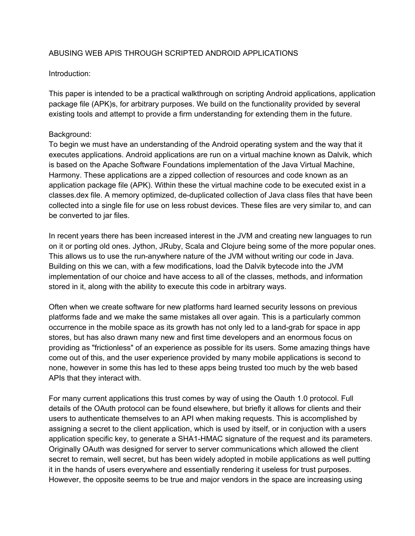# ABUSING WEB APIS THROUGH SCRIPTED ANDROID APPLICATIONS

### Introduction:

This paper is intended to be a practical walkthrough on scripting Android applications, application package file (APK)s, for arbitrary purposes. We build on the functionality provided by several existing tools and attempt to provide a firm understanding for extending them in the future.

### Background:

To begin we must have an understanding of the Android operating system and the way that it executes applications. Android applications are run on a virtual machine known as Dalvik, which is based on the Apache Software Foundations implementation of the Java Virtual Machine, Harmony. These applications are a zipped collection of resources and code known as an application package file (APK). Within these the virtual machine code to be executed exist in a classes.dex file. A memory optimized, de-duplicated collection of Java class files that have been collected into a single file for use on less robust devices. These files are very similar to, and can be converted to jar files.

In recent years there has been increased interest in the JVM and creating new languages to run on it or porting old ones. Jython, JRuby, Scala and Clojure being some of the more popular ones. This allows us to use the run-anywhere nature of the JVM without writing our code in Java. Building on this we can, with a few modifications, load the Dalvik bytecode into the JVM implementation of our choice and have access to all of the classes, methods, and information stored in it, along with the ability to execute this code in arbitrary ways.

Often when we create software for new platforms hard learned security lessons on previous platforms fade and we make the same mistakes all over again. This is a particularly common occurrence in the mobile space as its growth has not only led to a land-grab for space in app stores, but has also drawn many new and first time developers and an enormous focus on providing as "frictionless" of an experience as possible for its users. Some amazing things have come out of this, and the user experience provided by many mobile applications is second to none, however in some this has led to these apps being trusted too much by the web based APIs that they interact with.

For many current applications this trust comes by way of using the Oauth 1.0 protocol. Full details of the OAuth protocol can be found elsewhere, but briefly it allows for clients and their users to authenticate themselves to an API when making requests. This is accomplished by assigning a secret to the client application, which is used by itself, or in conjuction with a users application specific key, to generate a SHA1-HMAC signature of the request and its parameters. Originally OAuth was designed for server to server communications which allowed the client secret to remain, well secret, but has been widely adopted in mobile applications as well putting it in the hands of users everywhere and essentially rendering it useless for trust purposes. However, the opposite seems to be true and major vendors in the space are increasing using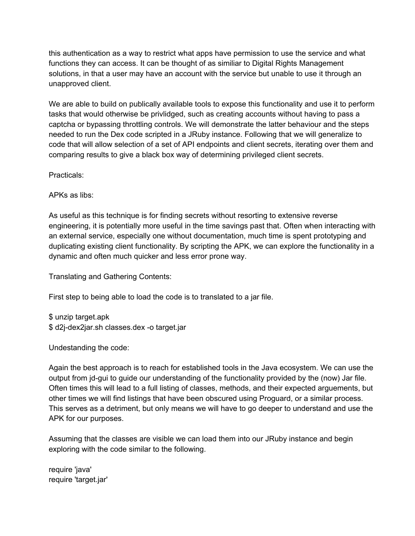this authentication as a way to restrict what apps have permission to use the service and what functions they can access. It can be thought of as similiar to Digital Rights Management solutions, in that a user may have an account with the service but unable to use it through an unapproved client.

We are able to build on publically available tools to expose this functionality and use it to perform tasks that would otherwise be privlidged, such as creating accounts without having to pass a captcha or bypassing throttling controls. We will demonstrate the latter behaviour and the steps needed to run the Dex code scripted in a JRuby instance. Following that we will generalize to code that will allow selection of a set of API endpoints and client secrets, iterating over them and comparing results to give a black box way of determining privileged client secrets.

Practicals:

APKs as libs:

As useful as this technique is for finding secrets without resorting to extensive reverse engineering, it is potentially more useful in the time savings past that. Often when interacting with an external service, especially one without documentation, much time is spent prototyping and duplicating existing client functionality. By scripting the APK, we can explore the functionality in a dynamic and often much quicker and less error prone way.

Translating and Gathering Contents:

First step to being able to load the code is to translated to a jar file.

\$ unzip target.apk \$ d2j-dex2jar.sh classes.dex -o target.jar

Undestanding the code:

Again the best approach is to reach for established tools in the Java ecosystem. We can use the output from jd-gui to guide our understanding of the functionality provided by the (now) Jar file. Often times this will lead to a full listing of classes, methods, and their expected arguements, but other times we will find listings that have been obscured using Proguard, or a similar process. This serves as a detriment, but only means we will have to go deeper to understand and use the APK for our purposes.

Assuming that the classes are visible we can load them into our JRuby instance and begin exploring with the code similar to the following.

require 'java' require 'target.jar'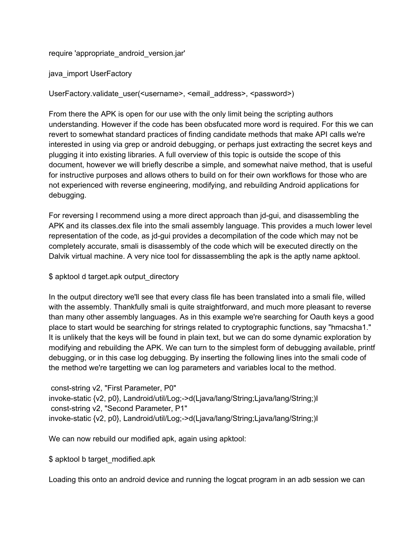require 'appropriate\_android\_version.jar'

java\_import UserFactory

UserFactory.validate\_user(<username>, <email\_address>, <password>)

From there the APK is open for our use with the only limit being the scripting authors understanding. However if the code has been obsfucated more word is required. For this we can revert to somewhat standard practices of finding candidate methods that make API calls we're interested in using via grep or android debugging, or perhaps just extracting the secret keys and plugging it into existing libraries. A full overview of this topic is outside the scope of this document, however we will briefly describe a simple, and somewhat naive method, that is useful for instructive purposes and allows others to build on for their own workflows for those who are not experienced with reverse engineering, modifying, and rebuilding Android applications for debugging.

For reversing I recommend using a more direct approach than jd-gui, and disassembling the APK and its classes.dex file into the smali assembly language. This provides a much lower level representation of the code, as jd-qui provides a decompilation of the code which may not be completely accurate, smali is disassembly of the code which will be executed directly on the Dalvik virtual machine. A very nice tool for dissassembling the apk is the aptly name apktool.

\$ apktool d target.apk output directory

In the output directory we'll see that every class file has been translated into a smali file, willed with the assembly. Thankfully smali is quite straightforward, and much more pleasant to reverse than many other assembly languages. As in this example we're searching for Oauth keys a good place to start would be searching for strings related to cryptographic functions, say "hmacsha1." It is unlikely that the keys will be found in plain text, but we can do some dynamic exploration by modifying and rebuilding the APK. We can turn to the simplest form of debugging available, printf debugging, or in this case log debugging. By inserting the following lines into the smali code of the method we're targetting we can log parameters and variables local to the method.

const-string v2, "First Parameter, P0" invoke-static {v2, p0}, Landroid/util/Log;->d(Ljava/lang/String;Ljava/lang/String;)I const-string v2, "Second Parameter, P1" invoke-static {v2, p0}, Landroid/util/Log;->d(Ljava/lang/String;Ljava/lang/String;)I

We can now rebuild our modified apk, again using apktool:

\$ apktool b target modified.apk

Loading this onto an android device and running the logcat program in an adb session we can